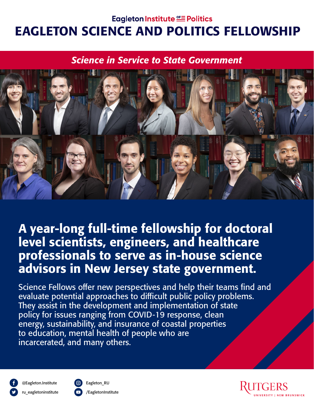#### Eagleton Institute SE Politics

# EAGLETON SCIENCE AND POLITICS FELLOWSHIP

#### *Science in Service to State Government*



A year-long full-time fellowship for doctoral level scientists, engineers, and healthcare professionals to serve as in-house science advisors in New Jersey state government.

Science Fellows offer new perspectives and help their teams find and evaluate potential approaches to difficult public policy problems. They assist in the development and implementation of state policy for issues ranging from COVID-19 response, clean energy, sustainability, and insurance of coastal properties to education, mental health of people who are incarcerated, and many others.